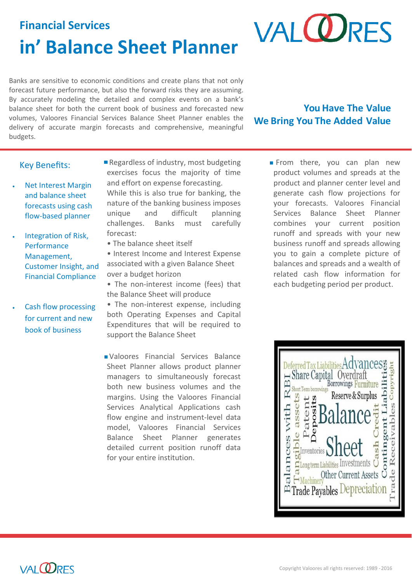## **Financial Services in' Balance Sheet Planner**

**VALORES** 

Banks are sensitive to economic conditions and create plans that not only forecast future performance, but also the forward risks they are assuming. By accurately modeling the detailed and complex events on a bank's balance sheet for both the current book of business and forecasted new volumes, Valoores Financial Services Balance Sheet Planner enables the delivery of accurate margin forecasts and comprehensive, meaningful budgets.

**You Have The Value We Bring You The Added Value**

### Key Benefits:

- Net Interest Margin and balance sheet forecasts using cash flow-based planner
- Integration of Risk, **Performance** Management, Customer Insight, and Financial Compliance
- Cash flow processing for current and new book of business

Regardless of industry, most budgeting exercises focus the majority of time and effort on expense forecasting.

While this is also true for banking, the nature of the banking business imposes unique and difficult planning challenges. Banks must carefully forecast:

• The balance sheet itself

• Interest Income and Interest Expense associated with a given Balance Sheet over a budget horizon

• The non-interest income (fees) that the Balance Sheet will produce

• The non-interest expense, including both Operating Expenses and Capital Expenditures that will be required to support the Balance Sheet

Valoores Financial Services Balance Sheet Planner allows product planner managers to simultaneously forecast both new business volumes and the margins. Using the Valoores Financial Services Analytical Applications cash flow engine and instrument-level data model, Valoores Financial Services Balance Sheet Planner generates detailed current position runoff data for your entire institution.

From there, you can plan new product volumes and spreads at the product and planner center level and generate cash flow projections for your forecasts. Valoores Financial Services Balance Sheet Planner combines your current position runoff and spreads with your new business runoff and spreads allowing you to gain a complete picture of balances and spreads and a wealth of related cash flow information for each budgeting period per product.